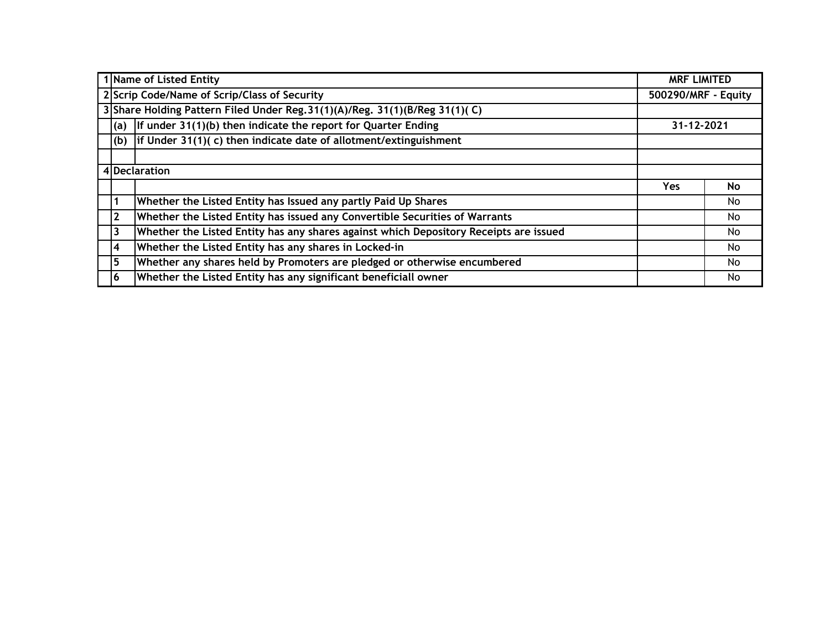| 1 Name of Listed Entity<br><b>MRF LIMITED</b>                                       |                                                                                      |                                                                                       |                     |    |  |  |  |  |  |  |  |
|-------------------------------------------------------------------------------------|--------------------------------------------------------------------------------------|---------------------------------------------------------------------------------------|---------------------|----|--|--|--|--|--|--|--|
|                                                                                     |                                                                                      | 2 Scrip Code/Name of Scrip/Class of Security                                          | 500290/MRF - Equity |    |  |  |  |  |  |  |  |
|                                                                                     | 3 Share Holding Pattern Filed Under Reg. 31(1)(A)/Reg. 31(1)(B/Reg 31(1)(C)          |                                                                                       |                     |    |  |  |  |  |  |  |  |
|                                                                                     | If under $31(1)(b)$ then indicate the report for Quarter Ending<br>31-12-2021<br>(a) |                                                                                       |                     |    |  |  |  |  |  |  |  |
| if Under $31(1)$ (c) then indicate date of allotment/extinguishment<br>(b)          |                                                                                      |                                                                                       |                     |    |  |  |  |  |  |  |  |
|                                                                                     |                                                                                      |                                                                                       |                     |    |  |  |  |  |  |  |  |
|                                                                                     | 4 Declaration                                                                        |                                                                                       |                     |    |  |  |  |  |  |  |  |
|                                                                                     |                                                                                      |                                                                                       | Yes.                | No |  |  |  |  |  |  |  |
|                                                                                     | $\mathbf{1}$                                                                         | Whether the Listed Entity has Issued any partly Paid Up Shares                        |                     | No |  |  |  |  |  |  |  |
|                                                                                     | <b>2</b>                                                                             | Whether the Listed Entity has issued any Convertible Securities of Warrants           |                     | No |  |  |  |  |  |  |  |
|                                                                                     | 3                                                                                    | Whether the Listed Entity has any shares against which Depository Receipts are issued |                     | No |  |  |  |  |  |  |  |
|                                                                                     | $\overline{\mathbf{4}}$                                                              | Whether the Listed Entity has any shares in Locked-in                                 |                     | No |  |  |  |  |  |  |  |
| 5<br>Whether any shares held by Promoters are pledged or otherwise encumbered<br>No |                                                                                      |                                                                                       |                     |    |  |  |  |  |  |  |  |
|                                                                                     | 6                                                                                    | Whether the Listed Entity has any significant beneficiall owner                       |                     | No |  |  |  |  |  |  |  |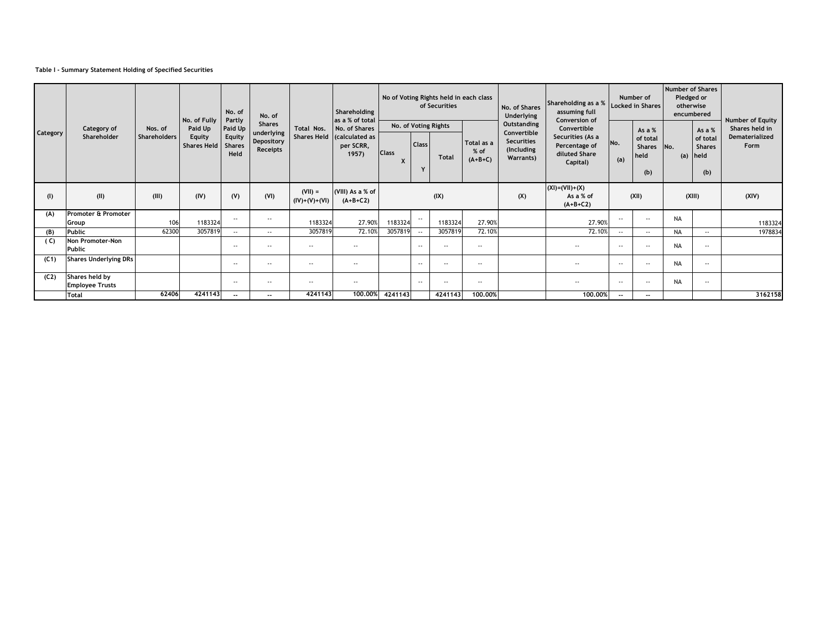## **Table I - Summary Statement Holding of Specified Securities**

|                 |                                          |                                |                                         | Shareholding<br>No. of<br>No. of<br>No. of Fully<br>Partly<br>as a % of total<br><b>Shares</b> |                                      |                             |                                                      |                   |                          | No of Voting Rights held in each class<br>of Securities |                                   | No. of Shares<br>Underlying                                                | Shareholding as a %<br>assuming full                                                           | Number of<br><b>Locked in Shares</b> |                                                   | <b>Number of Shares</b><br>Pledged or<br>otherwise<br>encumbered |                                                          | Number of Equity                         |  |
|-----------------|------------------------------------------|--------------------------------|-----------------------------------------|------------------------------------------------------------------------------------------------|--------------------------------------|-----------------------------|------------------------------------------------------|-------------------|--------------------------|---------------------------------------------------------|-----------------------------------|----------------------------------------------------------------------------|------------------------------------------------------------------------------------------------|--------------------------------------|---------------------------------------------------|------------------------------------------------------------------|----------------------------------------------------------|------------------------------------------|--|
| <b>Category</b> | Category of<br>Shareholder               | Nos. of<br><b>Shareholders</b> | Paid Up<br>Equity<br><b>Shares Held</b> | Paid Up<br>Equity<br><b>Shares</b><br>Held                                                     | underlying<br>Depository<br>Receipts | Total Nos.<br>Shares Held   | No. of Shares<br>calculated as<br>per SCRR,<br>1957) | <b>Class</b><br>X | <b>Class</b><br>Y        | No. of Voting Rights<br><b>Total</b>                    | Total as a<br>$%$ of<br>$(A+B+C)$ | Outstanding<br>Convertible<br><b>Securities</b><br>(Including<br>Warrants) | Conversion of<br>Convertible<br>Securities (As a<br>Percentage of<br>diluted Share<br>Capital) | No.<br>(a)                           | As a $%$<br>of total<br>Shares No.<br>held<br>(b) |                                                                  | As a $%$<br>of total<br><b>Shares</b><br>(a) held<br>(b) | Shares held in<br>Dematerialized<br>Form |  |
| (1)             | (II)                                     | (III)                          | (IV)                                    | (V)                                                                                            | (VI)                                 | $(VII) =$<br>$(IV)+(V)+(V)$ | (VIII) As a % of<br>$(A+B+C2)$                       |                   |                          | (IX)                                                    |                                   | (X)                                                                        | $(XI) = (VII) + (X)$<br>As a % of<br>$(A+B+C2)$                                                |                                      | (XII)                                             |                                                                  | (XIII)                                                   | (XIV)                                    |  |
| (A)             | Promoter & Promoter<br>Group             | 106                            | 1183324                                 | $\sim$ $\sim$                                                                                  | $\overline{\phantom{a}}$             | 1183324                     | 27.90%                                               | 1183324           |                          | 1183324                                                 | 27.90%                            |                                                                            | 27.90%                                                                                         | $\overline{\phantom{a}}$             | $\sim$ $\sim$                                     | <b>NA</b>                                                        |                                                          | 1183324                                  |  |
| (B)             | Public                                   | 62300                          | 3057819                                 | $\sim$ $\sim$                                                                                  | $\sim$ $\sim$                        | 3057819                     | 72.10%                                               | 3057819           | $-$                      | 3057819                                                 | 72.10%                            |                                                                            | 72.10%                                                                                         | $-$                                  | $-$                                               | <b>NA</b>                                                        | $\sim$ $\sim$                                            | 1978834                                  |  |
| (C)             | <b>Non Promoter-Non</b><br>Public        |                                |                                         | $\sim$ $\sim$                                                                                  | $\sim$ $\sim$                        | $ -$                        | $\sim$ $\sim$                                        |                   | $\overline{\phantom{a}}$ | $\overline{\phantom{a}}$                                | $\overline{\phantom{a}}$          |                                                                            | $\overline{\phantom{a}}$                                                                       | $\overline{\phantom{a}}$             | $\sim$ $\sim$                                     | <b>NA</b>                                                        | $\sim$ $\sim$                                            |                                          |  |
| (C1)            | <b>Shares Underlying DRs</b>             |                                |                                         | $-$                                                                                            | $\sim$ $\sim$                        | $- -$                       | $\sim$ $\sim$                                        |                   | $\overline{\phantom{a}}$ | $\overline{\phantom{a}}$                                | $- -$                             |                                                                            | $\overline{\phantom{a}}$                                                                       | $\overline{\phantom{a}}$             | $\sim$ $\sim$                                     | <b>NA</b>                                                        | $\sim$ $-$                                               |                                          |  |
| (C2)            | Shares held by<br><b>Employee Trusts</b> |                                |                                         | $-$                                                                                            | $\sim$ $\sim$                        | $- -$                       | $- -$                                                |                   | $\overline{\phantom{a}}$ | $\sim$ $\sim$                                           | $- -$                             |                                                                            | $- -$                                                                                          | $\overline{\phantom{a}}$             | $\sim$ $\sim$                                     | <b>NA</b>                                                        | $\sim$ $\sim$                                            |                                          |  |
|                 | <b>Total</b>                             | 62406                          | 4241143                                 | $-$                                                                                            | $- -$                                | 4241143                     | 100,00%                                              | 4241143           |                          | 4241143                                                 | 100.00%                           |                                                                            | 100,00%                                                                                        | $\overline{\phantom{a}}$             | $-$                                               |                                                                  |                                                          | 3162158                                  |  |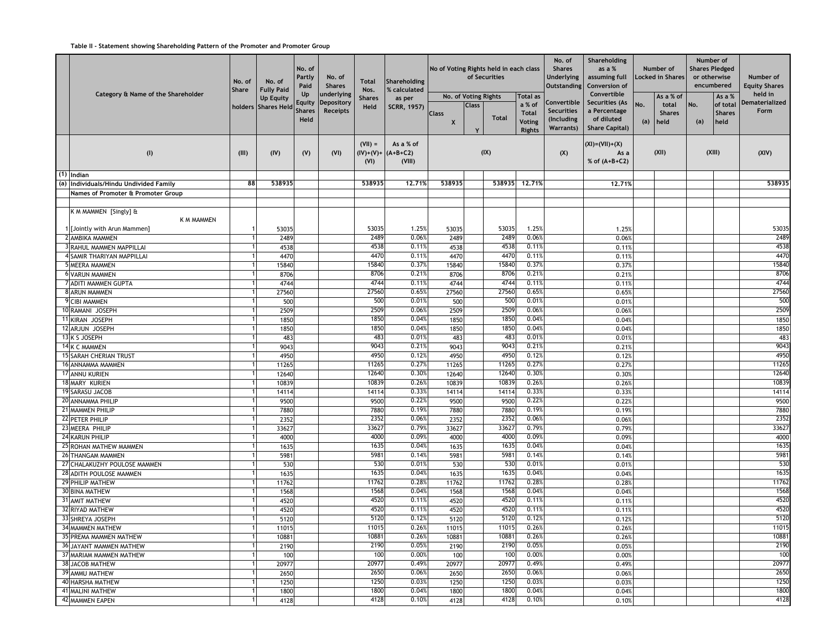## **Table II - Statement showing Shareholding Pattern of the Promoter and Promoter Group**

|                                        | No. of<br><b>Share</b> | No. of<br><b>Fully Paid</b>             | No. of<br>Partly<br>Paid              | No. of<br><b>Shares</b>                     | <b>Total</b><br>Nos.  | Shareholding<br>% calculated                | No of Voting Rights held in each class                     |              | of Securities |                                                                             | No. of<br><b>Shares</b><br><b>Underlying</b><br><b>Outstanding</b> | Shareholding<br>as a %<br>assuming full<br>Conversion of                             |            | Number of<br>ocked in Shares.               | Number of<br><b>Shares Pledged</b><br>or otherwise | encumbered                                  | Number of<br><b>Equity Shares</b> |
|----------------------------------------|------------------------|-----------------------------------------|---------------------------------------|---------------------------------------------|-----------------------|---------------------------------------------|------------------------------------------------------------|--------------|---------------|-----------------------------------------------------------------------------|--------------------------------------------------------------------|--------------------------------------------------------------------------------------|------------|---------------------------------------------|----------------------------------------------------|---------------------------------------------|-----------------------------------|
| Category & Name of the Shareholder     |                        | <b>Up Equity</b><br>holders Shares Held | Up<br>Equity<br><b>Shares</b><br>Held | underlying<br>Depository<br><b>Receipts</b> | <b>Shares</b><br>Held | as per<br>SCRR, 1957)                       | No. of Voting Rights<br><b>Class</b><br>$\pmb{\mathsf{X}}$ | <b>Class</b> | <b>Total</b>  | <b>Total as</b><br>a % of<br><b>Total</b><br><b>Voting</b><br><b>Rights</b> | Convertible<br><b>Securities</b><br>(Including<br><b>Warrants)</b> | Convertible<br>Securities (As<br>a Percentage<br>of diluted<br><b>Share Capital)</b> | No.<br>(a) | As a % of<br>total<br><b>Shares</b><br>held | No.<br>(a)                                         | As a %<br>of total<br><b>Shares</b><br>held | held in<br>Dematerialized<br>Form |
| (1)                                    | (III)                  | (IV)                                    | (V)                                   | (VI)                                        | $(VII) =$<br>(VI)     | As a % of<br>$(IV)+(V)+ (A+B+C2)$<br>(VIII) |                                                            |              | (IX)          |                                                                             | (X)                                                                | $(XI) = (VII) + (X)$<br>As a<br>% of $(A+B+C2)$                                      |            | (XII)                                       |                                                    | (XIII)                                      | (XIV)                             |
| $(1)$ Indian                           |                        |                                         |                                       |                                             |                       |                                             |                                                            |              |               |                                                                             |                                                                    |                                                                                      |            |                                             |                                                    |                                             |                                   |
| (a) Individuals/Hindu Undivided Family | 88                     | 538935                                  |                                       |                                             | 538935                | 12,71%                                      | 538935                                                     |              | 538935        | 12,71%                                                                      |                                                                    | 12,71%                                                                               |            |                                             |                                                    |                                             | 538935                            |
| Names of Promoter & Promoter Group     |                        |                                         |                                       |                                             |                       |                                             |                                                            |              |               |                                                                             |                                                                    |                                                                                      |            |                                             |                                                    |                                             |                                   |
|                                        |                        |                                         |                                       |                                             |                       |                                             |                                                            |              |               |                                                                             |                                                                    |                                                                                      |            |                                             |                                                    |                                             |                                   |
| K M MAMMEN [Singly] &<br>K M MAMMEN    |                        |                                         |                                       |                                             |                       |                                             |                                                            |              |               |                                                                             |                                                                    |                                                                                      |            |                                             |                                                    |                                             |                                   |
| [Jointly with Arun Mammen]             |                        | 53035                                   |                                       |                                             | 53035                 | 1.25%                                       | 53035                                                      |              | 53035         | 1.25%                                                                       |                                                                    | 1.25                                                                                 |            |                                             |                                                    |                                             | 53035                             |
| 2 AMBIKA MAMMEN                        |                        | 2489                                    |                                       |                                             | 2489                  | 0.06%                                       | 2489                                                       |              | 2489          | 0.06%                                                                       |                                                                    | 0.06%                                                                                |            |                                             |                                                    |                                             | 2489                              |
| 3 RAHUL MAMMEN MAPPILLAI               |                        | 4538                                    |                                       |                                             | 4538                  | 0.11%                                       | 4538                                                       |              | 4538          | 0.11%                                                                       |                                                                    | 0.11%                                                                                |            |                                             |                                                    |                                             | 4538                              |
| 4 SAMIR THARIYAN MAPPILLAI             |                        | 4470                                    |                                       |                                             | 4470                  | 0.11%                                       | 4470                                                       |              | 4470          | 0.11%                                                                       |                                                                    | 0.11%                                                                                |            |                                             |                                                    |                                             | 4470                              |
| <b>MEERA MAMMEN</b>                    |                        | 15840                                   |                                       |                                             | 15840                 | 0.37%                                       | 15840                                                      |              | 15840         | 0.37%                                                                       |                                                                    | 0.37%                                                                                |            |                                             |                                                    |                                             | 15840                             |
| <b>6 VARUN MAMMEN</b>                  |                        | 8706                                    |                                       |                                             | 8706                  | 0.21%                                       | 8706                                                       |              | 8706          | 0.21%                                                                       |                                                                    | 0.21%                                                                                |            |                                             |                                                    |                                             | 8706                              |
| 7 ADITI MAMMEN GUPTA                   |                        | 4744                                    |                                       |                                             | 4744                  | 0.11%                                       | 4744                                                       |              | 4744          | 0.11%                                                                       |                                                                    | 0.11%                                                                                |            |                                             |                                                    |                                             | 4744                              |
| 8 ARUN MAMMEN                          |                        | 27560                                   |                                       |                                             | 27560                 | 0.65%                                       | 27560                                                      |              | 27560         | 0.65%                                                                       |                                                                    | 0.659                                                                                |            |                                             |                                                    |                                             | 27560                             |
| 9 CIBI MAMMEN                          |                        | 500                                     |                                       |                                             | 500                   | 0.01%                                       | 500                                                        |              | 500           | 0.01%                                                                       |                                                                    | 0.01%                                                                                |            |                                             |                                                    |                                             | 500                               |
| 10 RAMANI JOSEPH                       |                        | 2509                                    |                                       |                                             | 2509                  | 0.06%                                       | 2509                                                       |              | 2509          | 0.06%                                                                       |                                                                    | 0.06%                                                                                |            |                                             |                                                    |                                             | 2509                              |
| 11 KIRAN JOSEPH                        |                        | 1850                                    |                                       |                                             | 1850                  | 0.04%                                       | 1850                                                       |              | 1850          | 0.04%                                                                       |                                                                    | 0.04%                                                                                |            |                                             |                                                    |                                             | 1850                              |
| 12 ARJUN JOSEPH                        |                        | 1850                                    |                                       |                                             | 1850                  | 0.04%                                       | 1850                                                       |              | 1850          | 0.04%                                                                       |                                                                    | 0.04%                                                                                |            |                                             |                                                    |                                             | 1850                              |
| 13 K S JOSEPH                          |                        | 483                                     |                                       |                                             | 483                   | 0.01%                                       | 483                                                        |              | 483           | 0.01%                                                                       |                                                                    | 0.01%                                                                                |            |                                             |                                                    |                                             | 483                               |
| 14 K C MAMMEN                          |                        | 9043                                    |                                       |                                             | 9043                  | 0.21%                                       | 9043                                                       |              | 9043          | 0.219                                                                       |                                                                    | 0.21%                                                                                |            |                                             |                                                    |                                             | 9043                              |
| <b>15 SARAH CHERIAN TRUST</b>          |                        | 4950                                    |                                       |                                             | 4950                  | 0.12%                                       | 4950                                                       |              | 4950          | 0.12%                                                                       |                                                                    | 0.12%                                                                                |            |                                             |                                                    |                                             | 4950                              |
| 16 ANNAMMA MAMMEN                      |                        | 11265                                   |                                       |                                             | 11265                 | 0.27%                                       | 11265                                                      |              | 11265         | 0.27%                                                                       |                                                                    | 0.27%                                                                                |            |                                             |                                                    |                                             | 11265                             |
| 17 ANNU KURIEN                         |                        | 12640                                   |                                       |                                             | 12640                 | 0.30%                                       | 12640                                                      |              | 12640         | 0.30%                                                                       |                                                                    | 0.30                                                                                 |            |                                             |                                                    |                                             | 12640                             |
| 18 MARY KURIEN                         |                        | 10839                                   |                                       |                                             | 10839                 | 0.26%                                       | 10839                                                      |              | 10839         | 0.26%                                                                       |                                                                    | 0.26%                                                                                |            |                                             |                                                    |                                             | 10839                             |
| 19 SARASU JACOB                        |                        | 14114                                   |                                       |                                             | 14114                 | 0.33%                                       | 14114                                                      |              | 14114         | 0.33%                                                                       |                                                                    | 0.33%                                                                                |            |                                             |                                                    |                                             | 14114                             |
| 20 ANNAMMA PHILIP                      |                        | 9500                                    |                                       |                                             | 9500                  | 0.22%                                       | 9500                                                       |              | 9500          | 0.22%                                                                       |                                                                    | 0.22%                                                                                |            |                                             |                                                    |                                             | 9500                              |
| 21 MAMMEN PHILIP                       |                        | 7880                                    |                                       |                                             | 7880                  | 0.19%                                       | 7880                                                       |              | 7880          | 0.19%                                                                       |                                                                    | 0.19%                                                                                |            |                                             |                                                    |                                             | 7880                              |
| 22 PETER PHILIP                        |                        | 2352                                    |                                       |                                             | 2352                  | 0.06%                                       | 2352                                                       |              | 2352          | 0.06%                                                                       |                                                                    | 0.06%                                                                                |            |                                             |                                                    |                                             | 2352                              |
| 23 MEERA PHILIP                        |                        | 33627                                   |                                       |                                             | 33627                 | 0.79%                                       | 33627                                                      |              | 33627         | 0.79%                                                                       |                                                                    | 0.79%                                                                                |            |                                             |                                                    |                                             | 33627                             |
| 24 KARUN PHILIP                        |                        | 4000                                    |                                       |                                             | 4000                  | 0.09%                                       | 4000                                                       |              | 4000          | 0.09                                                                        |                                                                    | 0.099                                                                                |            |                                             |                                                    |                                             | 4000                              |
| <b>25 ROHAN MATHEW MAMMEN</b>          |                        | 1635                                    |                                       |                                             | 1635                  | 0.04%                                       | 1635                                                       |              | 1635          | 0.04%                                                                       |                                                                    | 0.04%                                                                                |            |                                             |                                                    |                                             | 1635                              |
| 26 THANGAM MAMMEN                      |                        | 5981                                    |                                       |                                             | 5981                  | 0.14%                                       | 5981                                                       |              | 5981          | 0.14%                                                                       |                                                                    | 0.14%                                                                                |            |                                             |                                                    |                                             | 5981                              |
| 27 CHALAKUZHY POULOSE MAMMEN           |                        | 530                                     |                                       |                                             | 530                   | 0.01%                                       | 530                                                        |              | 530           | 0.01%                                                                       |                                                                    | 0.01%                                                                                |            |                                             |                                                    |                                             | 530                               |
| 28 ADITH POULOSE MAMMEN                |                        | 1635                                    |                                       |                                             | 1635                  | 0.04%                                       | 1635                                                       |              | 1635          | 0.04%                                                                       |                                                                    | 0.04%                                                                                |            |                                             |                                                    |                                             | 1635                              |
| 29 PHILIP MATHEW                       |                        | 11762                                   |                                       |                                             | 11762                 | 0.28%                                       | 11762                                                      |              | 11762         | 0.28%                                                                       |                                                                    | 0.28                                                                                 |            |                                             |                                                    |                                             | 11762                             |
| 30 BINA MATHEW                         |                        | 1568                                    |                                       |                                             | 1568                  | 0.04%                                       | 1568                                                       |              | 1568          | 0.04%                                                                       |                                                                    | 0.04%                                                                                |            |                                             |                                                    |                                             | 1568                              |
| 31 AMIT MATHEW                         |                        | 4520                                    |                                       |                                             | 4520                  | 0.11%                                       | 4520                                                       |              | 4520          | 0.11%                                                                       |                                                                    | 0.11%                                                                                |            |                                             |                                                    |                                             | 4520                              |
| 32 RIYAD MATHEW                        |                        | 4520                                    |                                       |                                             | 4520                  | 0.11%                                       | 4520                                                       |              | 4520          | 0.11%                                                                       |                                                                    | 0.11%                                                                                |            |                                             |                                                    |                                             | 4520                              |
| 33 SHREYA JOSEPH                       |                        | 5120                                    |                                       |                                             | 5120                  | 0.12%                                       | 5120                                                       |              | 5120          | 0.12%                                                                       |                                                                    | 0.12%                                                                                |            |                                             |                                                    |                                             | 5120                              |
| 34 MAMMEN MATHEW                       | 1                      | 11015                                   |                                       |                                             | 11015                 | 0.26%                                       | 11015                                                      |              | 11015         | 0.26%                                                                       |                                                                    | 0.26%                                                                                |            |                                             |                                                    |                                             | 11015                             |
| 35 PREMA MAMMEN MATHEW                 |                        | 10881                                   |                                       |                                             | 10881                 | 0.26%                                       | 10881                                                      |              | 10881         | 0.26%                                                                       |                                                                    | 0.26%                                                                                |            |                                             |                                                    |                                             | 10881                             |
| 36 JAYANT MAMMEN MATHEW                |                        | 2190                                    |                                       |                                             | 2190                  | 0.05%                                       | 2190                                                       |              | 2190          | 0.05%                                                                       |                                                                    | 0.05%                                                                                |            |                                             |                                                    |                                             | 2190                              |
| 37 MARIAM MAMMEN MATHEW                |                        | 100                                     |                                       |                                             | 100                   | 0.00%                                       | 100                                                        |              | 100           | 0.00%                                                                       |                                                                    | 0.00%                                                                                |            |                                             |                                                    |                                             | 100                               |
| 38 JACOB MATHEW                        |                        | 20977                                   |                                       |                                             | 20977                 | 0.49%                                       | 20977                                                      |              | 20977         | 0.49%                                                                       |                                                                    | 0.49%                                                                                |            |                                             |                                                    |                                             | 20977                             |
| 39 AMMU MATHEW                         |                        | 2650                                    |                                       |                                             | 2650                  | 0.06%                                       | 2650                                                       |              | 2650          | 0.06%                                                                       |                                                                    | 0.06%                                                                                |            |                                             |                                                    |                                             | 2650                              |
| 40 HARSHA MATHEW                       |                        | 1250                                    |                                       |                                             | 1250                  | 0.03%                                       | 1250                                                       |              | 1250          | 0.03%                                                                       |                                                                    | 0.03%                                                                                |            |                                             |                                                    |                                             | 1250                              |
| 41 MALINI MATHEW                       |                        | 1800                                    |                                       |                                             | 1800                  | 0.04%                                       | 1800                                                       |              | 1800          | 0.04%                                                                       |                                                                    | 0.04%                                                                                |            |                                             |                                                    |                                             | 1800                              |
| 42 MAMMEN EAPEN                        |                        | 4128                                    |                                       |                                             | 4128                  | 0.10%                                       | 4128                                                       |              | 4128          | 0.10%                                                                       |                                                                    | 0.10%                                                                                |            |                                             |                                                    |                                             | 4128                              |
|                                        |                        |                                         |                                       |                                             |                       |                                             |                                                            |              |               |                                                                             |                                                                    |                                                                                      |            |                                             |                                                    |                                             |                                   |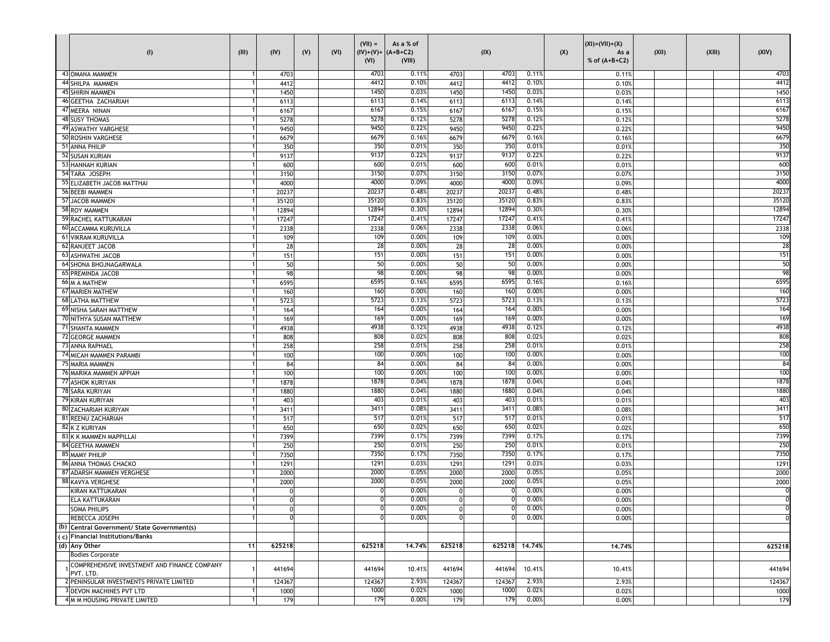| (1)                                                       | (III) | (IV)           | (V) | (VI) | $(VII) =$<br>$(IV)+(V)+ (A+B+C2)$<br>(VI) | As a % of<br>(VIII) |             | (IX)   |        | (X) | $(XI) = (VII) + (X)$<br>As a<br>% of $(A+B+C2)$ | (XII) | (XIII) | (XIV)           |
|-----------------------------------------------------------|-------|----------------|-----|------|-------------------------------------------|---------------------|-------------|--------|--------|-----|-------------------------------------------------|-------|--------|-----------------|
| 43 OMANA MAMMEN                                           |       | 4703           |     |      | 4703                                      | 0.11%               | 4703        | 4703   | 0.11%  |     | 0.11%                                           |       |        | 4703            |
| 44 SHILPA MAMMEN                                          |       | 4412           |     |      | 4412                                      | 0.10%               | 4412        | 4412   | 0.10%  |     | 0.109                                           |       |        | 4412            |
| 45 SHIRIN MAMMEN                                          |       | 1450           |     |      | 1450                                      | 0.03%               | 1450        | 1450   | 0.03%  |     | 0.039                                           |       |        | 1450            |
| 46 GEETHA ZACHARIAH                                       |       | 6113           |     |      | 6113                                      | 0.14%               | 6113        | 6113   | 0.14%  |     | 0.14%                                           |       |        | 6113            |
| 47 MEERA NINAN                                            |       | 6167           |     |      | 6167                                      | 0.15%               | 6167        | 6167   | 0.15%  |     | 0.15%                                           |       |        | 6167            |
| <b>48 SUSY THOMAS</b>                                     |       | 5278           |     |      | 5278                                      | 0.12%               | 5278        | 5278   | 0.12%  |     | 0.12%                                           |       |        | 5278            |
| 49 ASWATHY VARGHESE                                       |       | 9450           |     |      | 9450                                      | 0.22%               | 9450        | 9450   | 0.22%  |     | 0.22%                                           |       |        | 9450            |
| 50 ROSHIN VARGHESE                                        |       | 6679           |     |      | 6679                                      | 0.16%               | 6679        | 6679   | 0.16%  |     | 0.16%                                           |       |        | 6679            |
| 51 ANNA PHILIP                                            |       | 350            |     |      | 350                                       | 0.01%               | 350         | 350    | 0.01%  |     | 0.01%                                           |       |        | 350             |
| 52 SUSAN KURIAN                                           |       | 9137           |     |      | 9137                                      | 0.22%               | 9137        | 9137   | 0.22%  |     | 0.22%                                           |       |        | 9137            |
| 53 HANNAH KURIAN                                          |       | 600            |     |      | 600                                       | 0.01%               | 600         | 600    | 0.01%  |     | 0.019                                           |       |        | 600             |
| 54 TARA JOSEPH                                            |       | 3150           |     |      | 3150                                      | 0.07%               | 3150        | 3150   | 0.07%  |     | 0.079                                           |       |        | 3150            |
|                                                           |       |                |     |      | 4000                                      | 0.09%               |             | 4000   | 0.09%  |     |                                                 |       |        | 4000            |
| 55 ELIZABETH JACOB MATTHAI                                |       | 4000           |     |      | 20237                                     | 0.48%               | 4000        | 20237  |        |     | 0.099                                           |       |        | 2023            |
| 56 BEEBI MAMMEN                                           |       | 20237          |     |      |                                           |                     | 20237       |        | 0.48%  |     | 0.48                                            |       |        |                 |
| 57 JACOB MAMMEN                                           |       | 35120          |     |      | 35120                                     | 0.83%               | 35120       | 35120  | 0.83%  |     | 0.839                                           |       |        | 35120           |
| 58 ROY MAMMEN                                             |       | 12894          |     |      | 12894                                     | 0.30%               | 12894       | 12894  | 0.30%  |     | 0.309                                           |       |        | 12894           |
| <b>59 RACHEL KATTUKARAN</b>                               |       | 17247          |     |      | 17247                                     | 0.41%               | 17247       | 17247  | 0.41%  |     | 0.41%                                           |       |        | 17247           |
| <b>60 ACCAMMA KURUVILLA</b>                               |       | 2338           |     |      | 2338                                      | 0.06%               | 2338        | 2338   | 0.06%  |     | 0.069                                           |       |        | 2338            |
| 61 VIKRAM KURUVILLA                                       |       | 109            |     |      | 109                                       | 0.00%               | 109         | 109    | 0.00%  |     | 0.009                                           |       |        | 109             |
| 62 RANJEET JACOB                                          |       | 28             |     |      | 28                                        | 0.00%               | 28          | 28     | 0.00%  |     | 0.009                                           |       |        | 28              |
| <b>63 ASHWATHI JACOB</b>                                  |       | 151            |     |      | 151                                       | 0.00%               | 151         | 151    | 0.00%  |     | 0.009                                           |       |        | 151             |
| 64 SHONA BHOJNAGARWALA                                    |       | 50             |     |      | 50                                        | 0.00%               | 50          | 50     | 0.00%  |     | 0.009                                           |       |        | 50              |
| <b>65 PREMINDA JACOB</b>                                  |       | 98             |     |      | 98                                        | 0.00%               | 98          | 98     | 0.00%  |     | 0.00%                                           |       |        | 98              |
| 66 M A MATHEW                                             |       | 6595           |     |      | 6595                                      | 0.16%               | 6595        | 6595   | 0.16%  |     | 0.16%                                           |       |        | 6595            |
| <b>67 MARIEN MATHEW</b>                                   |       | 160            |     |      | 160                                       | 0.00%               | 160         | 160    | 0.00%  |     | 0.009                                           |       |        | 160             |
| 68 LATHA MATTHEW                                          |       | 5723           |     |      | 5723                                      | 0.13%               | 5723        | 5723   | 0.13%  |     | 0.13%                                           |       |        | 5723            |
| 69 NISHA SARAH MATTHEW                                    |       | 164            |     |      | 164                                       | 0.00%               | 164         | 164    | 0.00%  |     | 0.009                                           |       |        | 164             |
| 70 NITHYA SUSAN MATTHEW                                   |       | 169            |     |      | 169                                       | 0.00%               | 169         | 169    | 0.00%  |     | 0.009                                           |       |        | 169             |
| 71 SHANTA MAMMEN                                          |       | 4938           |     |      | 4938                                      | 0.12%               | 4938        | 4938   | 0.12%  |     | 0.12%                                           |       |        | 4938            |
| 72 GEORGE MAMMEN                                          |       | 808            |     |      | 808                                       | 0.02%               | 808         | 808    | 0.02%  |     | 0.029                                           |       |        | 808             |
| 73 ANNA RAPHAEL                                           |       | 258            |     |      | 258                                       | 0.01%               | 258         | 258    | 0.01%  |     | 0.019                                           |       |        | 258             |
| 74 MICAH MAMMEN PARAMBI                                   |       | 100            |     |      | 100                                       | 0.00%               | 100         | 100    | 0.00%  |     | 0.009                                           |       |        | 100             |
| 75 MARIA MAMMEN                                           |       | 84             |     |      | 84                                        | 0.00%               | 84          | 84     | 0.00%  |     | 0.009                                           |       |        | 84              |
| 76 MARIKA MAMMEN APPIAH                                   |       |                |     |      | 100                                       | 0.00%               |             | 100    | 0.00%  |     |                                                 |       |        | 10 <sub>C</sub> |
|                                                           |       | 100            |     |      | 1878                                      | 0.04%               | 100         | 1878   | 0.04%  |     | 0.009                                           |       |        | 1878            |
| 77 ASHOK KURIYAN                                          |       | 1878           |     |      |                                           |                     | 1878        |        |        |     | 0.04%                                           |       |        |                 |
| 78 SARA KURIYAN                                           |       | 1880           |     |      | 1880                                      | 0.04%               | 1880        | 1880   | 0.04%  |     | 0.049                                           |       |        | 1880            |
| 79 KIRAN KURIYAN                                          |       | 403            |     |      | 403                                       | 0.01%               | 403         | 403    | 0.01%  |     | 0.019                                           |       |        | 403             |
| <b>80 ZACHARIAH KURIYAN</b>                               |       | 3411           |     |      | 3411                                      | 0.08%               | 3411        | 3411   | 0.08%  |     | 0.089                                           |       |        | 3411            |
| 81 REENU ZACHARIAH                                        |       | 517            |     |      | 517                                       | 0.01%               | 517         | 517    | 0.01%  |     | 0.019                                           |       |        | 517             |
| 82 K Z KURIYAN                                            |       | 650            |     |      | 650                                       | 0.02%               | 650         | 650    | 0.02%  |     | 0.02%                                           |       |        | 650             |
| 83 K K MAMMEN MAPPILLAI                                   |       | 7399           |     |      | 7399                                      | 0.17%               | 7399        | 7399   | 0.17%  |     | 0.17%                                           |       |        | 7399            |
| 84 GEETHA MAMMEN                                          |       | 250            |     |      | 250                                       | 0.01%               | 250         | 250    | 0.01%  |     | 0.01%                                           |       |        | 250             |
| 85 MAMY PHILIP                                            |       | 7350           |     |      | 7350                                      | 0.17%               | 7350        | 7350   | 0.17%  |     | 0.17%                                           |       |        | 7350            |
| 86 ANNA THOMAS CHACKO                                     |       | 1291           |     |      | 1291                                      | 0.03%               | 1291        | 1291   | 0.03%  |     | 0.039                                           |       |        | 1291            |
| 87 ADARSH MAMMEN VERGHESE                                 |       | 2000           |     |      | 2000                                      | 0.05%               | 2000        | 2000   | 0.05%  |     | 0.059                                           |       |        | 2000            |
| <b>88 KAVYA VERGHESE</b>                                  |       | 2000           |     |      | 2000                                      | 0.05%               | 2000        | 2000   | 0.05%  |     | 0.059                                           |       |        | 2000            |
| KIRAN KATTUKARAN                                          |       | ŋ              |     |      |                                           | 0.00%               |             |        | 0.00%  |     | 0.009                                           |       |        | $\Omega$        |
| <b>ELA KATTUKARAN</b>                                     |       | $\overline{0}$ |     |      | 0                                         | 0.00%               | $\mathbf 0$ | n      | 0.00%  |     | 0.00%                                           |       |        |                 |
| <b>SOMA PHILIPS</b>                                       |       | $\mathbf{0}$   |     |      | $\mathbf 0$                               | 0.00%               | 0           | 0      | 0.00%  |     | 0.00%                                           |       |        | $\mathbf{0}$    |
| REBECCA JOSEPH                                            |       | 0              |     |      | $\Omega$                                  | 0.00%               |             | O      | 0.00%  |     | 0.00%                                           |       |        | $\mathbf 0$     |
| (b) Central Government/ State Government(s)               |       |                |     |      |                                           |                     |             |        |        |     |                                                 |       |        |                 |
| (c) Financial Institutions/Banks                          |       |                |     |      |                                           |                     |             |        |        |     |                                                 |       |        |                 |
| (d) Any Other                                             | $11$  | 625218         |     |      | 625218                                    | 14,74%              | 625218      | 625218 | 14,74% |     | 14.74%                                          |       |        | 625218          |
| <b>Bodies Corporate</b>                                   |       |                |     |      |                                           |                     |             |        |        |     |                                                 |       |        |                 |
|                                                           |       |                |     |      |                                           |                     |             |        |        |     |                                                 |       |        |                 |
| COMPREHENSIVE INVESTMENT AND FINANCE COMPANY<br>PVT. LTD. |       | 441694         |     |      | 441694                                    | 10.41%              | 441694      | 441694 | 10.41% |     | 10.41%                                          |       |        | 441694          |
| 2 PENINSULAR INVESTMENTS PRIVATE LIMITED                  |       | 124367         |     |      | 124367                                    | 2.93%               | 124367      | 124367 | 2.93%  |     | 2.93%                                           |       |        | 124367          |
| 3 DEVON MACHINES PVT LTD                                  |       | 1000           |     |      | 1000                                      | 0.02%               | 1000        | 1000   | 0.02%  |     | 0.02%                                           |       |        | 1000            |
|                                                           |       |                |     |      | 179                                       | 0.00%               |             | 179    | 0.00%  |     |                                                 |       |        |                 |
| 4 M M HOUSING PRIVATE LIMITED                             |       | 179            |     |      |                                           |                     | 179         |        |        |     | 0.00%                                           |       |        | 179             |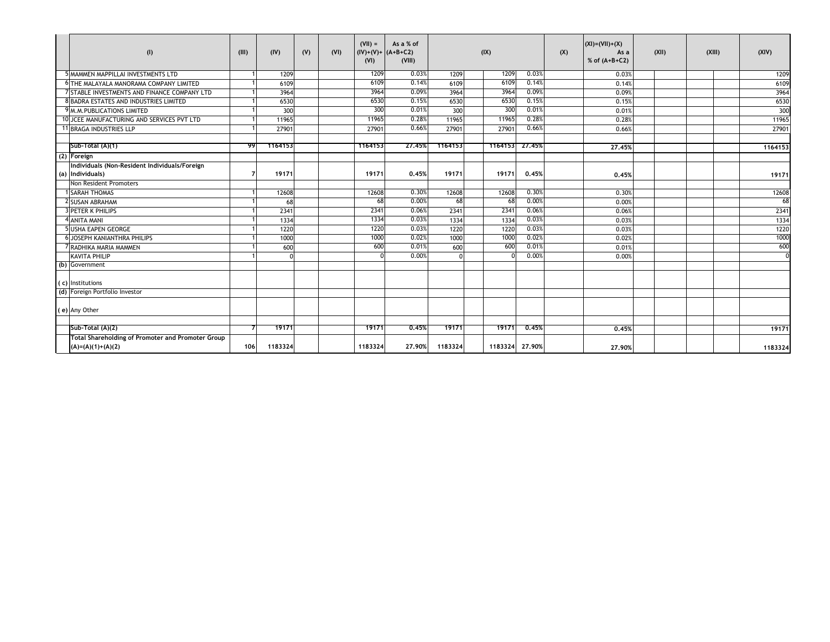| (1)                                                                      | (III) | (IV)    | (V) | (VI) | $(VII) =$<br>(VI) | As a % of<br>$(IV)+(V)+ (A+B+C2)$<br>(VIII) |          | (IX)           |        | (X) | $(XI) = (VII) + (X)$<br>As a<br>% of $(A+B+C2)$ | (XII) | (XIII) | (XIV)    |
|--------------------------------------------------------------------------|-------|---------|-----|------|-------------------|---------------------------------------------|----------|----------------|--------|-----|-------------------------------------------------|-------|--------|----------|
| MAMMEN MAPPILLAI INVESTMENTS LTD                                         |       | 1209    |     |      | 1209              | 0.03%                                       | 1209     | 1209           | 0.03%  |     | 0.03%                                           |       |        | 1209     |
| 6 THE MALAYALA MANORAMA COMPANY LIMITED                                  |       | 6109    |     |      | 6109              | 0.14%                                       | 6109     | 6109           | 0.14%  |     | 0.14%                                           |       |        | 6109     |
| 7 STABLE INVESTMENTS AND FINANCE COMPANY LTD                             |       | 3964    |     |      | 3964              | 0.09%                                       | 3964     | 3964           | 0.09%  |     | 0.09%                                           |       |        | 3964     |
| 8 BADRA ESTATES AND INDUSTRIES LIMITED                                   |       | 6530    |     |      | 6530              | 0.15%                                       | 6530     | 6530           | 0.15%  |     | 0.15%                                           |       |        | 6530     |
| 9 M.M. PUBLICATIONS LIMITED                                              |       | 300     |     |      | 300               | 0.01%                                       | 300      | 300            | 0.01%  |     | 0.01%                                           |       |        | 300      |
| 10 JCEE MANUFACTURING AND SERVICES PVT LTD                               |       | 11965   |     |      | 11965             | 0.28%                                       | 11965    | 11965          | 0.28%  |     | 0.28%                                           |       |        | 11965    |
| 11 BRAGA INDUSTRIES LLP                                                  |       | 27901   |     |      | 27901             | 0.66%                                       | 27901    | 27901          | 0.66%  |     | 0.66%                                           |       |        | 27901    |
|                                                                          |       |         |     |      |                   |                                             |          |                |        |     |                                                 |       |        |          |
| Sub-Total (A)(1)                                                         | 99    | 1164153 |     |      | 1164153           | 27.45%                                      | 1164153  | 1164153 27.45% |        |     | 27,45%                                          |       |        | 1164153  |
| (2) Foreign                                                              |       |         |     |      |                   |                                             |          |                |        |     |                                                 |       |        |          |
| Individuals (Non-Resident Individuals/Foreign                            |       |         |     |      |                   |                                             |          |                |        |     |                                                 |       |        |          |
| (a) Individuals)                                                         |       | 19171   |     |      | 19171             | 0.45%                                       | 19171    | 19171          | 0.45%  |     | 0.45%                                           |       |        | 19171    |
| Non Resident Promoters                                                   |       |         |     |      |                   |                                             |          |                |        |     |                                                 |       |        |          |
| <b>SARAH THOMAS</b>                                                      |       | 12608   |     |      | 12608             | 0.30%                                       | 12608    | 12608          | 0.30%  |     | 0.30%                                           |       |        | 12608    |
| 2 SUSAN ABRAHAM                                                          |       | 68      |     |      | 68                | 0.00%                                       | 68       | 68             | 0.00%  |     | 0.00%                                           |       |        | 68       |
| PETER K PHILIPS                                                          |       | 2341    |     |      | 2341              | 0.06%                                       | 2341     | 2341           | 0.06%  |     | 0.06%                                           |       |        | 2341     |
| <b>ANITA MANI</b>                                                        |       | 1334    |     |      | 1334              | 0.03%                                       | 1334     | 1334           | 0.03%  |     | 0.03%                                           |       |        | 1334     |
| 5 USHA EAPEN GEORGE                                                      |       | 1220    |     |      | 1220              | 0.03%                                       | 1220     | 1220           | 0.03%  |     | 0.03%                                           |       |        | 1220     |
| <b>6 JOSEPH KANIANTHRA PHILIPS</b>                                       |       | 1000    |     |      | 1000              | 0.02%                                       | 1000     | 1000           | 0.02%  |     | 0.02%                                           |       |        | 1000     |
| 7 RADHIKA MARIA MAMMEN                                                   |       | 600     |     |      | 600               | 0.01%                                       | 600      | 600            | 0.01%  |     | 0.01%                                           |       |        | 600      |
| <b>KAVITA PHILIP</b>                                                     |       |         |     |      |                   | 0.00%                                       | $\Omega$ |                | 0.00%  |     | 0.00%                                           |       |        | $\Omega$ |
| (b) Government                                                           |       |         |     |      |                   |                                             |          |                |        |     |                                                 |       |        |          |
| (c) Institutions                                                         |       |         |     |      |                   |                                             |          |                |        |     |                                                 |       |        |          |
| (d) Foreign Portfolio Investor                                           |       |         |     |      |                   |                                             |          |                |        |     |                                                 |       |        |          |
| (e) Any Other                                                            |       |         |     |      |                   |                                             |          |                |        |     |                                                 |       |        |          |
| Sub-Total (A)(2)                                                         |       | 19171   |     |      | 19171             | 0.45%                                       | 19171    | 19171          | 0.45%  |     | 0.45%                                           |       |        | 19171    |
| Total Shareholding of Promoter and Promoter Group<br>$(A)=(A)(1)+(A)(2)$ | 106   | 1183324 |     |      | 1183324           | 27.90%                                      | 1183324  | 1183324        | 27,90% |     | 27.90%                                          |       |        | 1183324  |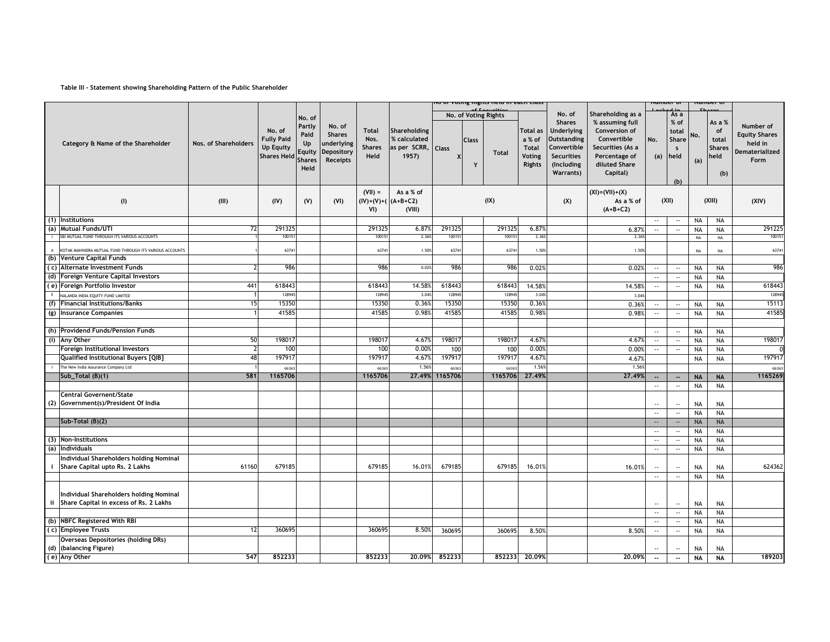## **Table III - Statement showing Shareholding Pattern of the Public Shareholder**

|                |                                                                                      |                      |                                                                       |                                                         |                                                                 |                                               |                                                      |         |                   | יט טו vuting rughts netu in each class |                                                               |                                                                                                                  |                                                                                                                   | www.c                       |                                                       |            | umver v                                               |                                                                               |
|----------------|--------------------------------------------------------------------------------------|----------------------|-----------------------------------------------------------------------|---------------------------------------------------------|-----------------------------------------------------------------|-----------------------------------------------|------------------------------------------------------|---------|-------------------|----------------------------------------|---------------------------------------------------------------|------------------------------------------------------------------------------------------------------------------|-------------------------------------------------------------------------------------------------------------------|-----------------------------|-------------------------------------------------------|------------|-------------------------------------------------------|-------------------------------------------------------------------------------|
|                |                                                                                      |                      |                                                                       | No. of                                                  |                                                                 |                                               |                                                      |         |                   | of Socuritio<br>No. of Voting Rights   |                                                               | No. of                                                                                                           | Shareholding as a                                                                                                 |                             | As a                                                  |            |                                                       |                                                                               |
|                | Category & Name of the Shareholder                                                   | Nos. of Shareholders | No. of<br><b>Fully Paid</b><br><b>Up Equity</b><br><b>Shares Held</b> | Partly<br>Paid<br>Up<br>Equity<br><b>Shares</b><br>Held | No. of<br><b>Shares</b><br>underlying<br>Depository<br>Receipts | <b>Total</b><br>Nos.<br><b>Shares</b><br>Held | Shareholding<br>% calculated<br>as per SCRR,<br>1957 | Class   | <b>Class</b><br>Y | <b>Total</b>                           | <b>Total as</b><br>a % of<br><b>Total</b><br>Voting<br>Rights | <b>Shares</b><br><b>Underlying</b><br>Outstanding<br>Convertible<br><b>Securities</b><br>(Including<br>Warrants) | % assuming full<br>Conversion of<br>Convertible<br>Securities (As a<br>Percentage of<br>diluted Share<br>Capital) | No.<br>(a)                  | % of<br>total<br>Share<br>$\mathsf{s}$<br>held<br>(b) | No.<br>(a) | As a %<br>of<br>total<br><b>Shares</b><br>held<br>(b) | Number of<br><b>Equity Shares</b><br>held in<br><b>Dematerialized</b><br>Form |
|                | (1)                                                                                  | (III)                | (IV)                                                                  | (V)                                                     | (VI)                                                            | $(VII) =$<br>VI)                              | As a % of<br>$(IV)+(V)+(A+B+C2)$<br>(VIII)           |         |                   | (IX)                                   |                                                               | (X)                                                                                                              | $(XI) = (VII) + (X)$<br>As a % of<br>$(A+B+C2)$                                                                   |                             | (XII)                                                 |            | (XIII)                                                | (XIV)                                                                         |
|                | (1) Institutions                                                                     |                      |                                                                       |                                                         |                                                                 |                                               |                                                      |         |                   |                                        |                                                               |                                                                                                                  |                                                                                                                   | $\mathcal{L}_{\mathcal{F}}$ | $\sim$                                                | <b>NA</b>  | <b>NA</b>                                             |                                                                               |
|                | (a) Mutual Funds/UTI                                                                 | 72                   | 29132                                                                 |                                                         |                                                                 | 291325                                        | 6.87%                                                | 29132   |                   | 291325                                 | 6.879                                                         |                                                                                                                  | 6.879                                                                                                             | $\overline{\phantom{a}}$ .  | $\overline{\phantom{a}}$ .                            | <b>NA</b>  | <b>NA</b>                                             | 291225                                                                        |
|                | SBI MUTUAL FUND THROUGH ITS VARIOUS ACCOUNTS                                         |                      | 1001                                                                  |                                                         |                                                                 | 10015                                         | 2.36                                                 | 10015   |                   | 10015                                  | 2.36                                                          |                                                                                                                  | 2.36                                                                                                              |                             |                                                       | NA         | NA                                                    | 10015                                                                         |
| ii.            | KOTAK MAHINDRA MUTUAL FUND THROUGH ITS VARIOUS ACCOUNTS                              |                      | 6374                                                                  |                                                         |                                                                 | 63741                                         | 1.50%                                                | 63741   |                   | 63741                                  | 1.50%                                                         |                                                                                                                  | 1.50%                                                                                                             |                             |                                                       | NA         | NA                                                    | 63741                                                                         |
|                | (b) Venture Capital Funds                                                            |                      |                                                                       |                                                         |                                                                 |                                               |                                                      |         |                   |                                        |                                                               |                                                                                                                  |                                                                                                                   |                             |                                                       |            |                                                       |                                                                               |
|                | (c) Alternate Investment Funds                                                       |                      | 986                                                                   |                                                         |                                                                 | 986                                           | 0.02%                                                | 986     |                   | 986                                    | 0.02%                                                         |                                                                                                                  | 0.02%                                                                                                             | $\overline{\phantom{a}}$ .  | $\overline{\phantom{a}}$                              | <b>NA</b>  | <b>NA</b>                                             | 986                                                                           |
|                | (d) Foreign Venture Capital Investors                                                |                      |                                                                       |                                                         |                                                                 |                                               |                                                      |         |                   |                                        |                                                               |                                                                                                                  |                                                                                                                   | $\overline{\phantom{a}}$ .  | $\sim$                                                | <b>NA</b>  | <b>NA</b>                                             |                                                                               |
|                | (e) Foreign Portfolio Investor                                                       | 441                  | 618443                                                                |                                                         |                                                                 | 618443                                        | 14.589                                               | 618443  |                   | 618443                                 | 14.58%                                                        |                                                                                                                  | 14.58%                                                                                                            | $\overline{\phantom{a}}$    | $\sim$                                                | <b>NA</b>  | NA                                                    | 618443                                                                        |
| $\mathbf{i}$   | NALANDA INDIA EQUITY FUND LIMITED                                                    |                      | 128945                                                                |                                                         |                                                                 | 128945                                        | 3.049                                                | 12894   |                   | 128945                                 | 3.04%                                                         |                                                                                                                  | 3.04%                                                                                                             |                             |                                                       |            |                                                       | 128945                                                                        |
| (f)            | <b>Financial Institutions/Banks</b>                                                  | 15                   | 15350                                                                 |                                                         |                                                                 | 15350                                         | 0.36%                                                | 15350   |                   | 15350                                  | 0.36%                                                         |                                                                                                                  | 0.36%                                                                                                             | $\sim$                      | $\sim$                                                | <b>NA</b>  | <b>NA</b>                                             | 15113                                                                         |
| $\overline{g}$ | <b>Insurance Companies</b>                                                           |                      | 41585                                                                 |                                                         |                                                                 | 41585                                         | 0.98                                                 | 41585   |                   | 41585                                  | 0.98%                                                         |                                                                                                                  | 0.98%                                                                                                             | $\overline{\phantom{a}}$ .  | $\sim$                                                | <b>NA</b>  | <b>NA</b>                                             | 41585                                                                         |
|                |                                                                                      |                      |                                                                       |                                                         |                                                                 |                                               |                                                      |         |                   |                                        |                                                               |                                                                                                                  |                                                                                                                   |                             |                                                       |            |                                                       |                                                                               |
|                | (h) Providend Funds/Pension Funds                                                    |                      |                                                                       |                                                         |                                                                 |                                               |                                                      |         |                   |                                        |                                                               |                                                                                                                  |                                                                                                                   | $\overline{\phantom{a}}$ .  | $\overline{\phantom{a}}$                              | <b>NA</b>  | <b>NA</b>                                             |                                                                               |
|                | (i) Any Other                                                                        | 50                   | 19801                                                                 |                                                         |                                                                 | 198017                                        | 4.679                                                | 198017  |                   | 198017                                 | 4.67%                                                         |                                                                                                                  | 4.679                                                                                                             | $\overline{\phantom{a}}$    | $\overline{\phantom{a}}$ .                            | <b>NA</b>  | <b>NA</b>                                             | 198017                                                                        |
|                | Foreign Institutional Investors                                                      | 7                    | 100                                                                   |                                                         |                                                                 | 100                                           | 0.009                                                | 100     |                   | 100                                    | 0.00%                                                         |                                                                                                                  | 0.00%                                                                                                             | $\overline{\phantom{a}}$ .  | $\overline{\phantom{a}}$ .                            | <b>NA</b>  | <b>NA</b>                                             |                                                                               |
|                | Qualified Institutional Buyers [QIB]                                                 | 48                   | 19791                                                                 |                                                         |                                                                 | 19791                                         | 4.679                                                | 197917  |                   | 19791                                  | 4.67%                                                         |                                                                                                                  | 4.67%                                                                                                             |                             |                                                       | <b>NA</b>  | <b>NA</b>                                             | 197917                                                                        |
|                | The New India Assurance Company Ltd                                                  |                      | 6636                                                                  |                                                         |                                                                 | 66363                                         | 1.56%                                                | 6636    |                   | 66363                                  | 1.56%                                                         |                                                                                                                  | 1.56                                                                                                              |                             |                                                       |            |                                                       | 6636                                                                          |
|                | Sub Total $(B)(1)$                                                                   | 581                  | 1165706                                                               |                                                         |                                                                 | 1165706                                       | 27.49%                                               | 1165706 |                   | 1165706                                | 27.49%                                                        |                                                                                                                  | 27.49%                                                                                                            | ٠.                          | $\overline{\phantom{a}}$                              | <b>NA</b>  | <b>NA</b>                                             | 1165269                                                                       |
|                | Central Governent/State                                                              |                      |                                                                       |                                                         |                                                                 |                                               |                                                      |         |                   |                                        |                                                               |                                                                                                                  |                                                                                                                   | $\overline{\phantom{a}}$ .  | $\mathcal{L}_{\mathcal{F}}$                           | <b>NA</b>  | <b>NA</b>                                             |                                                                               |
|                | (2) Government(s)/President Of India                                                 |                      |                                                                       |                                                         |                                                                 |                                               |                                                      |         |                   |                                        |                                                               |                                                                                                                  |                                                                                                                   | $\overline{\phantom{a}}$    | $\overline{\phantom{a}}$                              | <b>NA</b>  | <b>NA</b>                                             |                                                                               |
|                |                                                                                      |                      |                                                                       |                                                         |                                                                 |                                               |                                                      |         |                   |                                        |                                                               |                                                                                                                  |                                                                                                                   | $\sim$                      | $\sim$                                                | <b>NA</b>  | NA                                                    |                                                                               |
|                | Sub-Total $(B)(2)$                                                                   |                      |                                                                       |                                                         |                                                                 |                                               |                                                      |         |                   |                                        |                                                               |                                                                                                                  |                                                                                                                   | $\sim$                      | $\mathbb{H}^{\mathbb{Z}}$                             | <b>NA</b>  | <b>NA</b>                                             |                                                                               |
|                |                                                                                      |                      |                                                                       |                                                         |                                                                 |                                               |                                                      |         |                   |                                        |                                                               |                                                                                                                  |                                                                                                                   | $\overline{\phantom{a}}$ .  | $\mathbb{H}^{\mathbb{Z}}$                             | <b>NA</b>  | <b>NA</b>                                             |                                                                               |
| (3)            | <b>Non-Institutions</b>                                                              |                      |                                                                       |                                                         |                                                                 |                                               |                                                      |         |                   |                                        |                                                               |                                                                                                                  |                                                                                                                   | $\overline{\phantom{a}}$ .  | $\mathcal{L}_{\mathcal{F}}$                           | <b>NA</b>  | <b>NA</b>                                             |                                                                               |
| (a)            | Individuals                                                                          |                      |                                                                       |                                                         |                                                                 |                                               |                                                      |         |                   |                                        |                                                               |                                                                                                                  |                                                                                                                   | $\ldots$                    | $\overline{\phantom{a}}$ .                            | <b>NA</b>  | <b>NA</b>                                             |                                                                               |
|                | Individual Shareholders holding Nominal<br>Share Capital upto Rs. 2 Lakhs            | 61160                | 679185                                                                |                                                         |                                                                 | 679185                                        | 16.01%                                               | 679185  |                   | 679185                                 | 16.01%                                                        |                                                                                                                  | 16.01%                                                                                                            | $\overline{\phantom{a}}$    | $\overline{\phantom{a}}$ .                            | <b>NA</b>  | NA                                                    | 624362                                                                        |
|                |                                                                                      |                      |                                                                       |                                                         |                                                                 |                                               |                                                      |         |                   |                                        |                                                               |                                                                                                                  |                                                                                                                   | $\overline{\phantom{a}}$ .  | $\mathcal{L}_{\mathcal{F}}$                           | <b>NA</b>  | <b>NA</b>                                             |                                                                               |
|                | Individual Shareholders holding Nominal<br>ii Share Capital in excess of Rs. 2 Lakhs |                      |                                                                       |                                                         |                                                                 |                                               |                                                      |         |                   |                                        |                                                               |                                                                                                                  |                                                                                                                   | $\overline{\phantom{a}}$    | $\overline{\phantom{a}}$                              | NA         | <b>NA</b>                                             |                                                                               |
|                |                                                                                      |                      |                                                                       |                                                         |                                                                 |                                               |                                                      |         |                   |                                        |                                                               |                                                                                                                  |                                                                                                                   | $\overline{\phantom{a}}$    | $\sim$                                                | <b>NA</b>  | <b>NA</b>                                             |                                                                               |
|                | (b) NBFC Registered With RBI                                                         |                      |                                                                       |                                                         |                                                                 |                                               |                                                      |         |                   |                                        |                                                               |                                                                                                                  |                                                                                                                   | $\overline{\phantom{a}}$    | $\sim$                                                | <b>NA</b>  | NA                                                    |                                                                               |
|                | (c) Employee Trusts                                                                  | 12                   | 360695                                                                |                                                         |                                                                 | 360695                                        | 8.50%                                                | 360695  |                   | 360695                                 | 8.50%                                                         |                                                                                                                  | 8.50%                                                                                                             | $\mathcal{L}_{\mathcal{F}}$ | $\sim$                                                | <b>NA</b>  | NA                                                    |                                                                               |
| (d)            | Overseas Depositories (holding DRs)<br>(balancing Figure)                            |                      |                                                                       |                                                         |                                                                 |                                               |                                                      |         |                   |                                        |                                                               |                                                                                                                  |                                                                                                                   | $\ddotsc$                   | $\ddotsc$                                             | <b>NA</b>  | <b>NA</b>                                             |                                                                               |
|                | (e) Any Other                                                                        | 547                  | 852233                                                                |                                                         |                                                                 | 852233                                        | 20,09%                                               | 852233  |                   | 852233                                 | 20.09%                                                        |                                                                                                                  | 20,09%                                                                                                            | $\overline{\phantom{a}}$    | $\overline{\phantom{a}}$                              | <b>NA</b>  | <b>NA</b>                                             | 189203                                                                        |
|                |                                                                                      |                      |                                                                       |                                                         |                                                                 |                                               |                                                      |         |                   |                                        |                                                               |                                                                                                                  |                                                                                                                   |                             |                                                       |            |                                                       |                                                                               |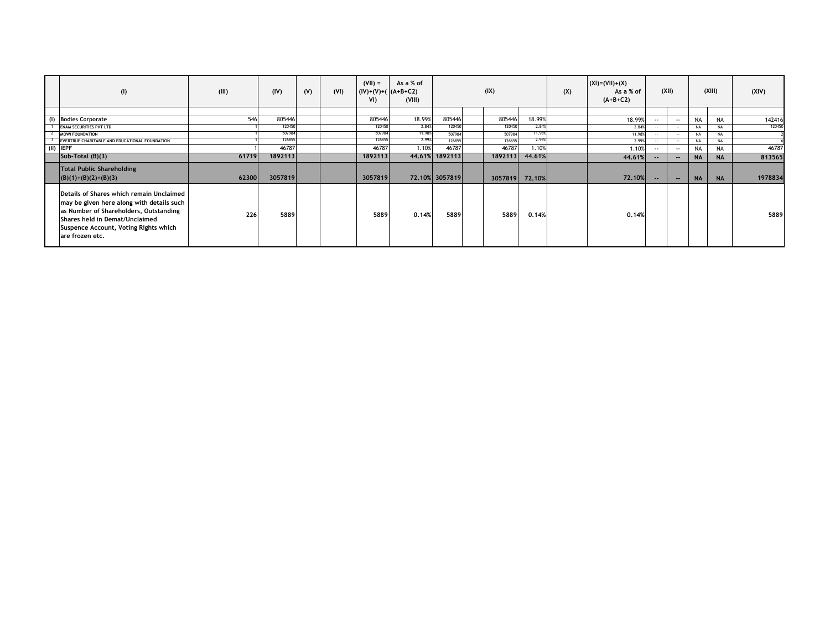| (1)                                                                                                                                                                                                                           | (III) | (IV)    | (V) | (VI) | $(VII) =$<br>$(IV)+(V)+(A+B+C2)$<br>VI) | As a % of<br>(VIII) |                | (IX)    |                | (X) | $(XI) = (VII) + (X)$<br>As a % of<br>$(A+B+C2)$ |               | (XII)         |           | (XIII)    | (XIV)   |
|-------------------------------------------------------------------------------------------------------------------------------------------------------------------------------------------------------------------------------|-------|---------|-----|------|-----------------------------------------|---------------------|----------------|---------|----------------|-----|-------------------------------------------------|---------------|---------------|-----------|-----------|---------|
|                                                                                                                                                                                                                               |       |         |     |      |                                         |                     |                |         |                |     |                                                 |               |               |           |           |         |
| (I) Bodies Corporate                                                                                                                                                                                                          | 546   | 805446  |     |      | 805446                                  | 18.99%              | 805446         | 805446  | 18.99%         |     | 18.99%                                          | $\sim$ $\sim$ | $\sim$        | <b>NA</b> | <b>NA</b> | 142416  |
| <b>ENAM SECURITIES PVT LTD</b>                                                                                                                                                                                                |       | 120450  |     |      | 120450                                  | 2.84%               | 120450         | 120450  | 2.84%          |     | 2.84%                                           | $\sim$        | $\sim$        | <b>NA</b> | NA        | 120450  |
| <b>MOWI FOUNDATION</b>                                                                                                                                                                                                        |       | 507984  |     |      | 507984                                  | 11.98%              | 507984         | 507984  | 11.98%         |     | 11.98%                                          | <b>A</b> 10 A | $\sim$        | <b>NA</b> | <b>NA</b> |         |
| EVERTRUE CHARITABLE AND EDUCATIONAL FOUNDATION                                                                                                                                                                                |       | 126855  |     |      | 126855                                  | 2.99%               | 126855         | 126855  | 2.99%          |     | 2.99%                                           | $\sim$        | $\sim$        | <b>NA</b> | NA        |         |
| $(II)$ IEPF                                                                                                                                                                                                                   |       | 46787   |     |      | 46787                                   | 1.10%               | 46787          | 46787   | 1.10%          |     | 1.10%                                           | $-1$          | $\sim$ $\sim$ | <b>NA</b> | <b>NA</b> | 46787   |
| Sub-Total $(B)(3)$                                                                                                                                                                                                            | 61719 | 1892113 |     |      | 1892113                                 |                     | 44.61% 1892113 | 1892113 | 44.61%         |     | 44.61%                                          | $- -$         | $-$           | <b>NA</b> | <b>NA</b> | 813565  |
| <b>Total Public Shareholding</b><br>$ (B)(1)+(B)(2)+(B)(3) $                                                                                                                                                                  | 62300 | 3057819 |     |      | 3057819                                 |                     | 72.10% 3057819 |         | 3057819 72.10% |     | 72.10%                                          | $-$           | $\sim$        | <b>NA</b> | <b>NA</b> | 1978834 |
| Details of Shares which remain Unclaimed<br>may be given here along with details such<br>as Number of Shareholders, Outstanding<br>Shares held in Demat/Unclaimed<br>Suspence Account, Voting Rights which<br>are frozen etc. | 226   | 5889    |     |      | 5889                                    | 0.14%               | 5889           | 5889    | 0.14%          |     | 0.14%                                           |               |               |           |           | 5889    |